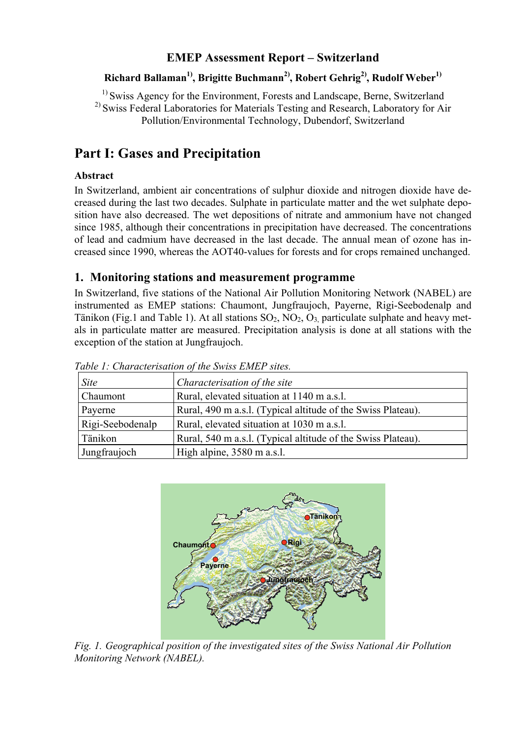# **EMEP Assessment Report – Switzerland**

### Richard Ballaman<sup>1)</sup>, Brigitte Buchmann<sup>2)</sup>, Robert Gehrig<sup>2)</sup>, Rudolf Weber<sup>1)</sup>

<sup>1)</sup> Swiss Agency for the Environment, Forests and Landscape, Berne, Switzerland <sup>2)</sup> Swiss Federal Laboratories for Materials Testing and Research, Laboratory for Air Pollution/Environmental Technology, Dubendorf, Switzerland

# **Part I: Gases and Precipitation**

### **Abstract**

In Switzerland, ambient air concentrations of sulphur dioxide and nitrogen dioxide have decreased during the last two decades. Sulphate in particulate matter and the wet sulphate deposition have also decreased. The wet depositions of nitrate and ammonium have not changed since 1985, although their concentrations in precipitation have decreased. The concentrations of lead and cadmium have decreased in the last decade. The annual mean of ozone has increased since 1990, whereas the AOT40-values for forests and for crops remained unchanged.

# **1. Monitoring stations and measurement programme**

In Switzerland, five stations of the National Air Pollution Monitoring Network (NABEL) are instrumented as EMEP stations: Chaumont, Jungfraujoch, Payerne, Rigi-Seebodenalp and Tänikon (Fig.1 and Table 1). At all stations  $SO_2$ ,  $NO_2$ ,  $O_3$  particulate sulphate and heavy metals in particulate matter are measured. Precipitation analysis is done at all stations with the exception of the station at Jungfraujoch.

| <i>Site</i>      | Characterisation of the site                                 |
|------------------|--------------------------------------------------------------|
| Chaumont         | Rural, elevated situation at 1140 m a.s.l.                   |
| Payerne          | Rural, 490 m a.s.l. (Typical altitude of the Swiss Plateau). |
| Rigi-Seebodenalp | Rural, elevated situation at 1030 m a.s.l.                   |
| Tänikon          | Rural, 540 m a.s.l. (Typical altitude of the Swiss Plateau). |
| Jungfraujoch     | High alpine, 3580 m a.s.l.                                   |

*Table 1: Characterisation of the Swiss EMEP sites.* 



*Fig. 1. Geographical position of the investigated sites of the Swiss National Air Pollution Monitoring Network (NABEL).*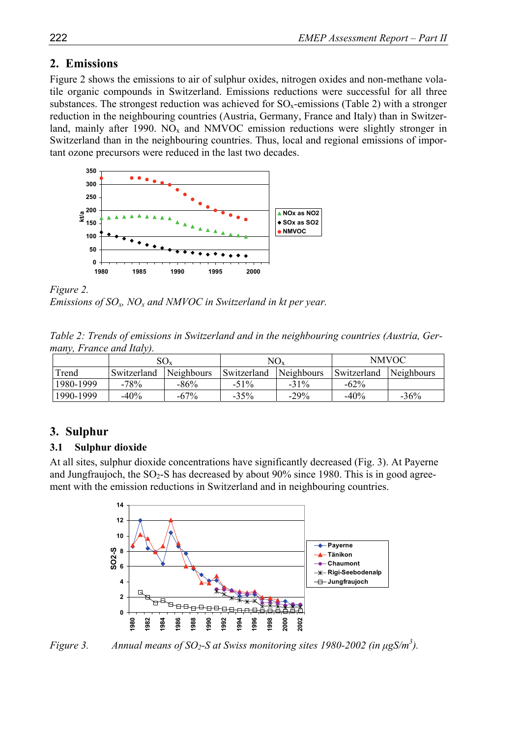# **2. Emissions**

Figure 2 shows the emissions to air of sulphur oxides, nitrogen oxides and non-methane volatile organic compounds in Switzerland. Emissions reductions were successful for all three substances. The strongest reduction was achieved for  $\text{SO}_x$ -emissions (Table 2) with a stronger reduction in the neighbouring countries (Austria, Germany, France and Italy) than in Switzerland, mainly after 1990. NO<sub>x</sub> and NMVOC emission reductions were slightly stronger in Switzerland than in the neighbouring countries. Thus, local and regional emissions of important ozone precursors were reduced in the last two decades.



*Figure 2. Emissions of SOx, NOx and NMVOC in Switzerland in kt per year.* 

|  |                          |  |  | Table 2: Trends of emissions in Switzerland and in the neighbouring countries (Austria, Ger- |  |  |
|--|--------------------------|--|--|----------------------------------------------------------------------------------------------|--|--|
|  | many, France and Italy). |  |  |                                                                                              |  |  |

|           |             | $SO_{X}$          |             | $NO_{x}$   | <b>NMVOC</b> |            |
|-----------|-------------|-------------------|-------------|------------|--------------|------------|
| Trend     | Switzerland | <b>Neighbours</b> | Switzerland | Neighbours | Switzerland  | Neighbours |
| 1980-1999 | $-78%$      | $-86%$            | $-51\%$     | $-31\%$    | $-62\%$      |            |
| 1990-1999 | $-40\%$     | $-67\%$           | $-35%$      | $-29\%$    | $-40%$       | $-36%$     |

# **3. Sulphur**

# **3.1 Sulphur dioxide**

At all sites, sulphur dioxide concentrations have significantly decreased (Fig. 3). At Payerne and Jungfraujoch, the  $SO_2$ -S has decreased by about 90% since 1980. This is in good agreement with the emission reductions in Switzerland and in neighbouring countries.



*Figure 3.* Annual means of SO<sub>2</sub>-S at Swiss monitoring sites 1980-2002 (in  $\mu$ gS/m<sup>3</sup>).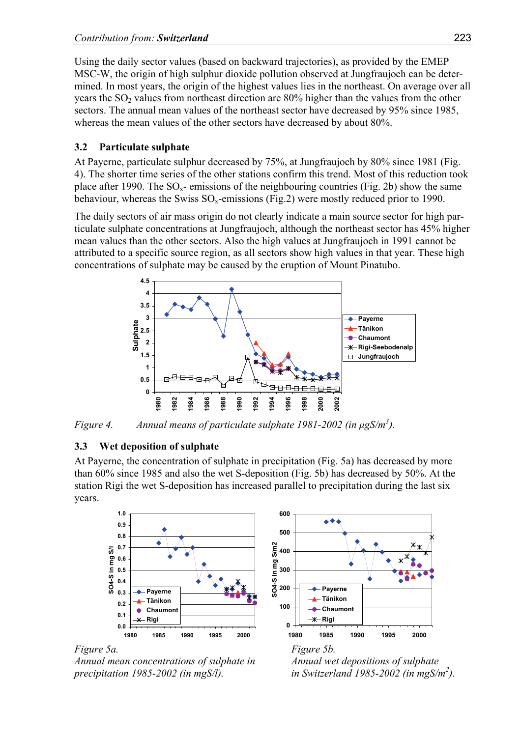Using the daily sector values (based on backward trajectories), as provided by the EMEP MSC-W, the origin of high sulphur dioxide pollution observed at Jungfraujoch can be determined. In most years, the origin of the highest values lies in the northeast. On average over all years the  $SO<sub>2</sub>$  values from northeast direction are 80% higher than the values from the other sectors. The annual mean values of the northeast sector have decreased by 95% since 1985, whereas the mean values of the other sectors have decreased by about 80%.

### **3.2 Particulate sulphate**

At Payerne, particulate sulphur decreased by 75%, at Jungfraujoch by 80% since 1981 (Fig. 4). The shorter time series of the other stations confirm this trend. Most of this reduction took place after 1990. The  $SO_x$ - emissions of the neighbouring countries (Fig. 2b) show the same behaviour, whereas the Swiss  $SO_x$ -emissions (Fig.2) were mostly reduced prior to 1990.

The daily sectors of air mass origin do not clearly indicate a main source sector for high particulate sulphate concentrations at Jungfraujoch, although the northeast sector has 45% higher mean values than the other sectors. Also the high values at Jungfraujoch in 1991 cannot be attributed to a specific source region, as all sectors show high values in that year. These high concentrations of sulphate may be caused by the eruption of Mount Pinatubo.



*Figure 4. Annual means of particulate sulphate 1981-2002 (in µgS/m3 ).* 

# **3.3 Wet deposition of sulphate**

At Payerne, the concentration of sulphate in precipitation (Fig. 5a) has decreased by more than 60% since 1985 and also the wet S-deposition (Fig. 5b) has decreased by 50%. At the station Rigi the wet S-deposition has increased parallel to precipitation during the last six years.







*Annual mean concentrations of sulphate in Annual wet depositions of sulphate precipitation 1985-2002 (in mgS/l). in Switzerland 1985-2002 (in mgS/m2 ).* 

*Figure 5a. Figure 5b.*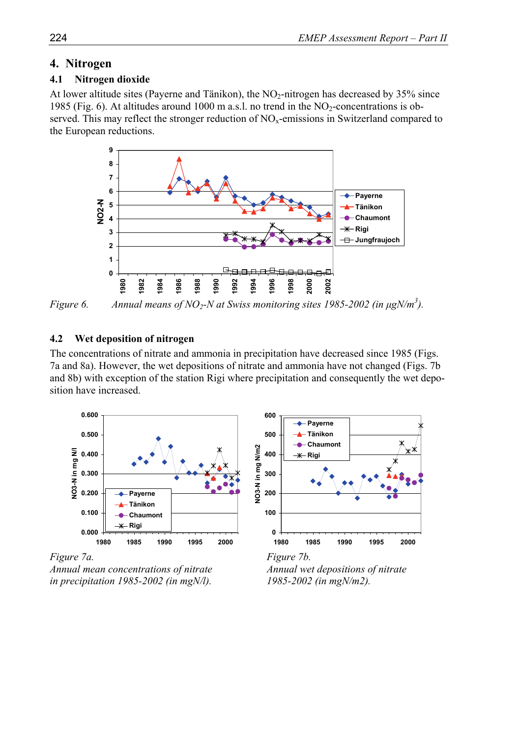### **4. Nitrogen**

#### **4.1 Nitrogen dioxide**

At lower altitude sites (Payerne and Tänikon), the  $NO<sub>2</sub>-nitrogen$  has decreased by 35% since 1985 (Fig. 6). At altitudes around 1000 m a.s.l. no trend in the  $NO<sub>2</sub>$ -concentrations is observed. This may reflect the stronger reduction of  $NO<sub>x</sub>$ -emissions in Switzerland compared to the European reductions.



*Figure 6.* Annual means of NO<sub>2</sub>-N at Swiss monitoring sites 1985-2002 (in  $\mu$ gN/m<sup>3</sup>).

#### **4.2 Wet deposition of nitrogen**

The concentrations of nitrate and ammonia in precipitation have decreased since 1985 (Figs. 7a and 8a). However, the wet depositions of nitrate and ammonia have not changed (Figs. 7b and 8b) with exception of the station Rigi where precipitation and consequently the wet deposition have increased.

NO3-N in mg N/m2



**0 100 200 300 400 500 600 1980 1985 1990 1995 2000 NO3-N in mg N/m2 Payerne Tänikon Chaumont Rigi**

*Figure 7a. Figure 7b.* 

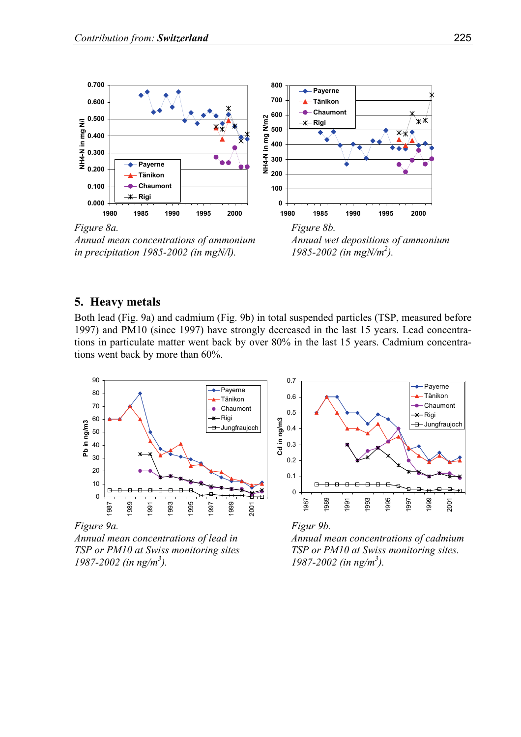

*in precipitation 1985-2002 (in mgN/l).* 



#### **5. Heavy metals**

Both lead (Fig. 9a) and cadmium (Fig. 9b) in total suspended particles (TSP, measured before 1997) and PM10 (since 1997) have strongly decreased in the last 15 years. Lead concentrations in particulate matter went back by over 80% in the last 15 years. Cadmium concentrations went back by more than 60%.



*Figure 9a. Figur 9b. Annual mean concentrations of lead in Annual mean concentrations of cadmium 1987-2002 (in ng/m3*





*TSP or PM10 at Swiss monitoring sites TSP or PM10 at Swiss monitoring sites. ). 1987-2002 (in ng/m3 ).*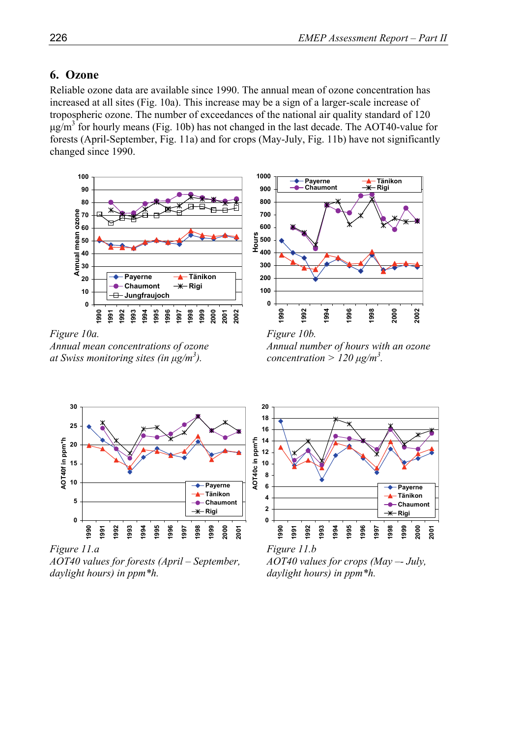### **6. Ozone**

Reliable ozone data are available since 1990. The annual mean of ozone concentration has increased at all sites (Fig. 10a). This increase may be a sign of a larger-scale increase of tropospheric ozone. The number of exceedances of the national air quality standard of 120  $\mu$ g/m<sup>3</sup> for hourly means (Fig. 10b) has not changed in the last decade. The AOT40-value for forests (April-September, Fig. 11a) and for crops (May-July, Fig. 11b) have not significantly changed since 1990.



*at Swiss monitoring sites (in µg/m3*

*Annual mean concentrations of ozone Annual number of hours with an ozone*   $\therefore$  *concentration* >  $120 \mu g/m^3$ .



*AOT40 values for forests (April – September, AOT40 values for crops (May –- July, daylight hours) in ppm\*h. daylight hours) in ppm\*h.* 



*Figure 11.a Figure 11.b*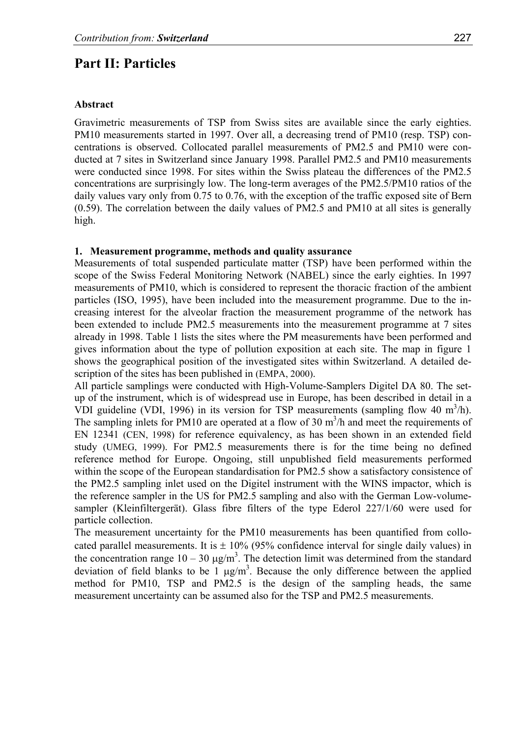# **Part II: Particles**

#### **Abstract**

Gravimetric measurements of TSP from Swiss sites are available since the early eighties. PM10 measurements started in 1997. Over all, a decreasing trend of PM10 (resp. TSP) concentrations is observed. Collocated parallel measurements of PM2.5 and PM10 were conducted at 7 sites in Switzerland since January 1998. Parallel PM2.5 and PM10 measurements were conducted since 1998. For sites within the Swiss plateau the differences of the PM2.5 concentrations are surprisingly low. The long-term averages of the PM2.5/PM10 ratios of the daily values vary only from 0.75 to 0.76, with the exception of the traffic exposed site of Bern  $(0.59)$ . The correlation between the daily values of PM2.5 and PM10 at all sites is generally high.

#### **1. Measurement programme, methods and quality assurance**

Measurements of total suspended particulate matter (TSP) have been performed within the scope of the Swiss Federal Monitoring Network (NABEL) since the early eighties. In 1997 measurements of PM10, which is considered to represent the thoracic fraction of the ambient particles (ISO, 1995), have been included into the measurement programme. Due to the increasing interest for the alveolar fraction the measurement programme of the network has been extended to include PM2.5 measurements into the measurement programme at 7 sites already in 1998. Table 1 lists the sites where the PM measurements have been performed and gives information about the type of pollution exposition at each site. The map in figure 1 shows the geographical position of the investigated sites within Switzerland. A detailed description of the sites has been published in (EMPA, 2000).

All particle samplings were conducted with High-Volume-Samplers Digitel DA 80. The setup of the instrument, which is of widespread use in Europe, has been described in detail in a VDI guideline (VDI, 1996) in its version for TSP measurements (sampling flow 40  $m^3/h$ ). The sampling inlets for PM10 are operated at a flow of 30  $m<sup>3</sup>/h$  and meet the requirements of EN 12341 (CEN, 1998) for reference equivalency, as has been shown in an extended field study (UMEG, 1999). For PM2.5 measurements there is for the time being no defined reference method for Europe. Ongoing, still unpublished field measurements performed within the scope of the European standardisation for PM2.5 show a satisfactory consistence of the PM2.5 sampling inlet used on the Digitel instrument with the WINS impactor, which is the reference sampler in the US for PM2.5 sampling and also with the German Low-volumesampler (Kleinfiltergerät). Glass fibre filters of the type Ederol 227/1/60 were used for particle collection.

The measurement uncertainty for the PM10 measurements has been quantified from collocated parallel measurements. It is  $\pm$  10% (95% confidence interval for single daily values) in the concentration range  $10 - 30 \mu g/m^3$ . The detection limit was determined from the standard deviation of field blanks to be 1  $\mu$ g/m<sup>3</sup>. Because the only difference between the applied method for PM10, TSP and PM2.5 is the design of the sampling heads, the same measurement uncertainty can be assumed also for the TSP and PM2.5 measurements.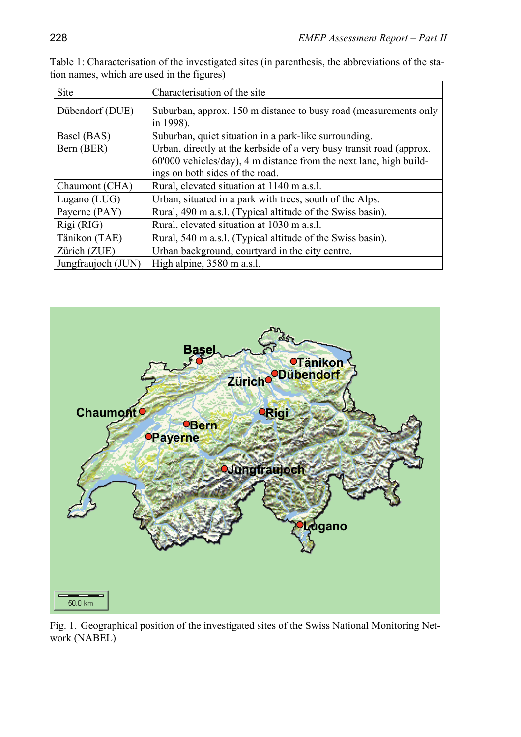| Table 1: Characterisation of the investigated sites (in parenthesis, the abbreviations of the sta- |  |
|----------------------------------------------------------------------------------------------------|--|
| tion names, which are used in the figures)                                                         |  |

| <b>Site</b>        | Characterisation of the site                                                                                                                                                  |
|--------------------|-------------------------------------------------------------------------------------------------------------------------------------------------------------------------------|
| Dübendorf (DUE)    | Suburban, approx. 150 m distance to busy road (measurements only<br>in 1998).                                                                                                 |
| Basel (BAS)        | Suburban, quiet situation in a park-like surrounding.                                                                                                                         |
| Bern (BER)         | Urban, directly at the kerbside of a very busy transit road (approx.<br>60'000 vehicles/day), 4 m distance from the next lane, high build-<br>ings on both sides of the road. |
| Chaumont (CHA)     | Rural, elevated situation at 1140 m a.s.l.                                                                                                                                    |
| Lugano $(LUG)$     | Urban, situated in a park with trees, south of the Alps.                                                                                                                      |
| Payerne (PAY)      | Rural, 490 m a.s.l. (Typical altitude of the Swiss basin).                                                                                                                    |
| Rigi (RIG)         | Rural, elevated situation at 1030 m a.s.l.                                                                                                                                    |
| Tänikon (TAE)      | Rural, 540 m a.s.l. (Typical altitude of the Swiss basin).                                                                                                                    |
| Zürich (ZUE)       | Urban background, courtyard in the city centre.                                                                                                                               |
| Jungfraujoch (JUN) | High alpine, 3580 m a.s.l.                                                                                                                                                    |



Fig. 1. Geographical position of the investigated sites of the Swiss National Monitoring Network (NABEL)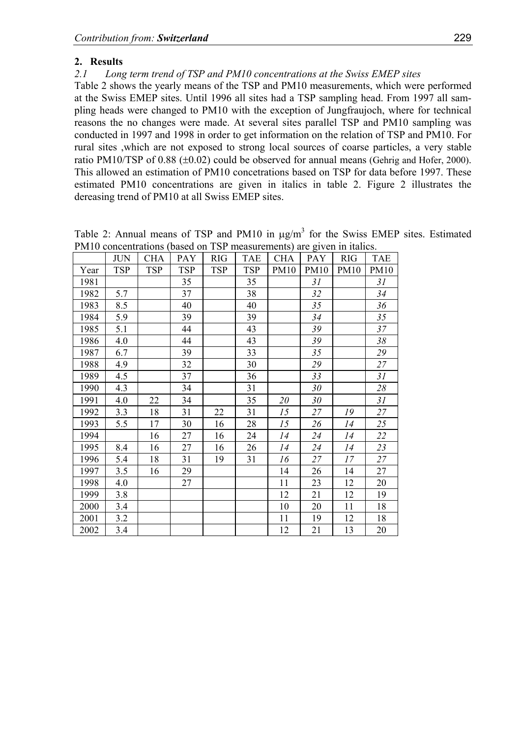### **2. Results**

*2.1 Long term trend of TSP and PM10 concentrations at the Swiss EMEP sites* 

Table 2 shows the yearly means of the TSP and PM10 measurements, which were performed at the Swiss EMEP sites. Until 1996 all sites had a TSP sampling head. From 1997 all sampling heads were changed to PM10 with the exception of Jungfraujoch, where for technical reasons the no changes were made. At several sites parallel TSP and PM10 sampling was conducted in 1997 and 1998 in order to get information on the relation of TSP and PM10. For rural sites ,which are not exposed to strong local sources of coarse particles, a very stable ratio PM10/TSP of 0.88 (±0.02) could be observed for annual means (Gehrig and Hofer, 2000). This allowed an estimation of PM10 concetrations based on TSP for data before 1997. These estimated PM10 concentrations are given in italics in table 2. Figure 2 illustrates the dereasing trend of PM10 at all Swiss EMEP sites.

|      | <b>JUN</b> | <b>CHA</b> | <b>PAY</b> | <b>RIG</b> | <b>TAE</b> | <b>CHA</b>  | PAY  | <b>RIG</b>  | <b>TAE</b>  |
|------|------------|------------|------------|------------|------------|-------------|------|-------------|-------------|
| Year | <b>TSP</b> | <b>TSP</b> | <b>TSP</b> | <b>TSP</b> | <b>TSP</b> | <b>PM10</b> | PM10 | <b>PM10</b> | <b>PM10</b> |
| 1981 |            |            | 35         |            | 35         |             | 31   |             | 31          |
| 1982 | 5.7        |            | 37         |            | 38         |             | 32   |             | 34          |
| 1983 | 8.5        |            | 40         |            | 40         |             | 35   |             | 36          |
| 1984 | 5.9        |            | 39         |            | 39         |             | 34   |             | 35          |
| 1985 | 5.1        |            | 44         |            | 43         |             | 39   |             | 37          |
| 1986 | 4.0        |            | 44         |            | 43         |             | 39   |             | 38          |
| 1987 | 6.7        |            | 39         |            | 33         |             | 35   |             | 29          |
| 1988 | 4.9        |            | 32         |            | 30         |             | 29   |             | 27          |
| 1989 | 4.5        |            | 37         |            | 36         |             | 33   |             | 31          |
| 1990 | 4.3        |            | 34         |            | 31         |             | 30   |             | 28          |
| 1991 | 4.0        | 22         | 34         |            | 35         | 20          | 30   |             | 31          |
| 1992 | 3.3        | 18         | 31         | 22         | 31         | 15          | 27   | 19          | 27          |
| 1993 | 5.5        | 17         | 30         | 16         | 28         | 15          | 26   | 14          | 25          |
| 1994 |            | 16         | 27         | 16         | 24         | 14          | 24   | 14          | 22          |
| 1995 | 8.4        | 16         | 27         | 16         | 26         | 14          | 24   | 14          | 23          |
| 1996 | 5.4        | 18         | 31         | 19         | 31         | 16          | 27   | 17          | 27          |
| 1997 | 3.5        | 16         | 29         |            |            | 14          | 26   | 14          | 27          |
| 1998 | 4.0        |            | 27         |            |            | 11          | 23   | 12          | 20          |
| 1999 | 3.8        |            |            |            |            | 12          | 21   | 12          | 19          |
| 2000 | 3.4        |            |            |            |            | 10          | 20   | 11          | 18          |
| 2001 | 3.2        |            |            |            |            | 11          | 19   | 12          | 18          |
| 2002 | 3.4        |            |            |            |            | 12          | 21   | 13          | 20          |

Table 2: Annual means of TSP and PM10 in  $\mu$ g/m<sup>3</sup> for the Swiss EMEP sites. Estimated PM10 concentrations (based on TSP measurements) are given in italics.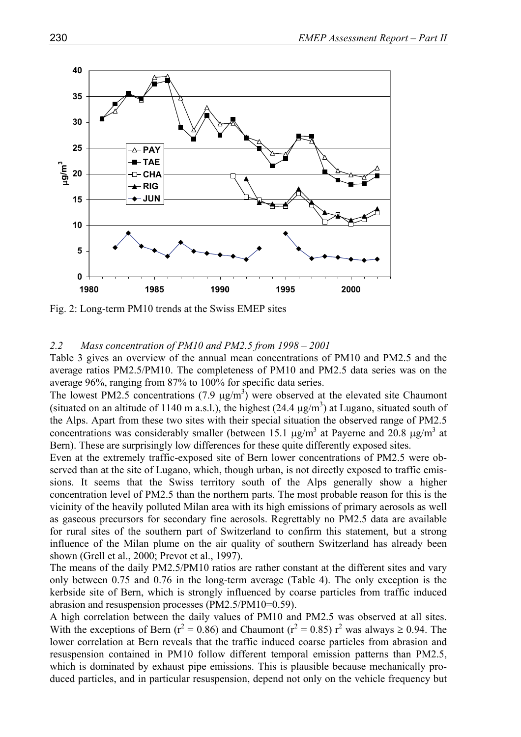

Fig. 2: Long-term PM10 trends at the Swiss EMEP sites

#### *2.2 Mass concentration of PM10 and PM2.5 from 1998 – 2001*

Table 3 gives an overview of the annual mean concentrations of PM10 and PM2.5 and the average ratios PM2.5/PM10. The completeness of PM10 and PM2.5 data series was on the average 96%, ranging from 87% to 100% for specific data series.

The lowest PM2.5 concentrations (7.9  $\mu$ g/m<sup>3</sup>) were observed at the elevated site Chaumont (situated on an altitude of 1140 m a.s.l.), the highest  $(24.4 \,\mu g/m^3)$  at Lugano, situated south of the Alps. Apart from these two sites with their special situation the observed range of PM2.5 concentrations was considerably smaller (between 15.1  $\mu$ g/m<sup>3</sup> at Payerne and 20.8  $\mu$ g/m<sup>3</sup> at Bern). These are surprisingly low differences for these quite differently exposed sites.

Even at the extremely traffic-exposed site of Bern lower concentrations of PM2.5 were observed than at the site of Lugano, which, though urban, is not directly exposed to traffic emissions. It seems that the Swiss territory south of the Alps generally show a higher concentration level of PM2.5 than the northern parts. The most probable reason for this is the vicinity of the heavily polluted Milan area with its high emissions of primary aerosols as well as gaseous precursors for secondary fine aerosols. Regrettably no PM2.5 data are available for rural sites of the southern part of Switzerland to confirm this statement, but a strong influence of the Milan plume on the air quality of southern Switzerland has already been shown (Grell et al., 2000; Prevot et al., 1997).

The means of the daily PM2.5/PM10 ratios are rather constant at the different sites and vary only between 0.75 and 0.76 in the long-term average (Table 4). The only exception is the kerbside site of Bern, which is strongly influenced by coarse particles from traffic induced abrasion and resuspension processes (PM2.5/PM10=0.59).

A high correlation between the daily values of PM10 and PM2.5 was observed at all sites. With the exceptions of Bern ( $r^2 = 0.86$ ) and Chaumont ( $r^2 = 0.85$ )  $r^2$  was always  $\ge 0.94$ . The lower correlation at Bern reveals that the traffic induced coarse particles from abrasion and resuspension contained in PM10 follow different temporal emission patterns than PM2.5, which is dominated by exhaust pipe emissions. This is plausible because mechanically produced particles, and in particular resuspension, depend not only on the vehicle frequency but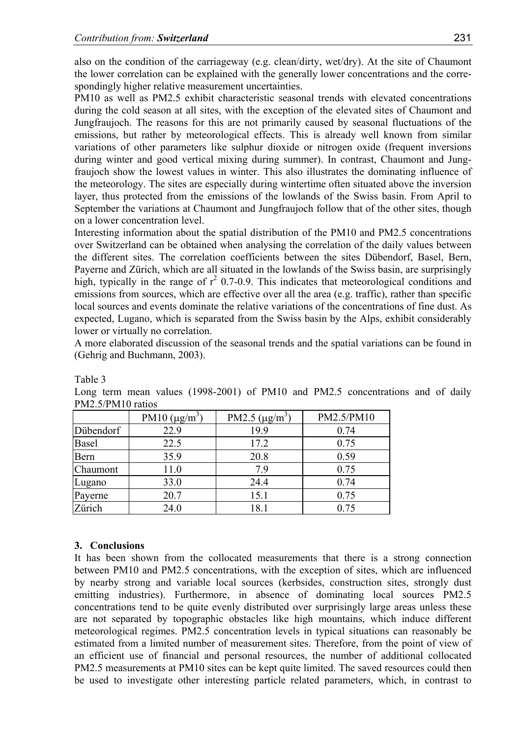also on the condition of the carriageway (e.g. clean/dirty, wet/dry). At the site of Chaumont the lower correlation can be explained with the generally lower concentrations and the correspondingly higher relative measurement uncertainties.

PM10 as well as PM2.5 exhibit characteristic seasonal trends with elevated concentrations during the cold season at all sites, with the exception of the elevated sites of Chaumont and Jungfraujoch. The reasons for this are not primarily caused by seasonal fluctuations of the emissions, but rather by meteorological effects. This is already well known from similar variations of other parameters like sulphur dioxide or nitrogen oxide (frequent inversions during winter and good vertical mixing during summer). In contrast, Chaumont and Jungfraujoch show the lowest values in winter. This also illustrates the dominating influence of the meteorology. The sites are especially during wintertime often situated above the inversion layer, thus protected from the emissions of the lowlands of the Swiss basin. From April to September the variations at Chaumont and Jungfraujoch follow that of the other sites, though on a lower concentration level.

Interesting information about the spatial distribution of the PM10 and PM2.5 concentrations over Switzerland can be obtained when analysing the correlation of the daily values between the different sites. The correlation coefficients between the sites Dübendorf, Basel, Bern, Payerne and Zürich, which are all situated in the lowlands of the Swiss basin, are surprisingly high, typically in the range of  $r^2$  0.7-0.9. This indicates that meteorological conditions and emissions from sources, which are effective over all the area (e.g. traffic), rather than specific local sources and events dominate the relative variations of the concentrations of fine dust. As expected, Lugano, which is separated from the Swiss basin by the Alps, exhibit considerably lower or virtually no correlation.

A more elaborated discussion of the seasonal trends and the spatial variations can be found in (Gehrig and Buchmann, 2003).

|           | 1 111 1 1 1 1 1 1 1 1 0 1 0 1 1 0 1 0 |                     |            |  |  |  |  |  |  |
|-----------|---------------------------------------|---------------------|------------|--|--|--|--|--|--|
|           | PM10 $(\mu g/m^3)$                    | PM2.5 $(\mu g/m^3)$ | PM2.5/PM10 |  |  |  |  |  |  |
| Dübendorf | 22.9                                  | 19.9                | 0.74       |  |  |  |  |  |  |
| Basel     | 22.5                                  | 17.2                | 0.75       |  |  |  |  |  |  |
| Bern      | 35.9                                  | 20.8                | 0.59       |  |  |  |  |  |  |
| Chaumont  | 11.0                                  | 7.9                 | 0.75       |  |  |  |  |  |  |
| Lugano    | 33.0                                  | 24.4                | 0.74       |  |  |  |  |  |  |
| Payerne   | 20.7                                  | 15.1                | 0.75       |  |  |  |  |  |  |
| Zürich    | 24.0                                  | 18.1                | 0.75       |  |  |  |  |  |  |

Table 3

Long term mean values (1998-2001) of PM10 and PM2.5 concentrations and of daily PM2.5/PM10 ratios

#### **3. Conclusions**

It has been shown from the collocated measurements that there is a strong connection between PM10 and PM2.5 concentrations, with the exception of sites, which are influenced by nearby strong and variable local sources (kerbsides, construction sites, strongly dust emitting industries). Furthermore, in absence of dominating local sources PM2.5 concentrations tend to be quite evenly distributed over surprisingly large areas unless these are not separated by topographic obstacles like high mountains, which induce different meteorological regimes. PM2.5 concentration levels in typical situations can reasonably be estimated from a limited number of measurement sites. Therefore, from the point of view of an efficient use of financial and personal resources, the number of additional collocated PM2.5 measurements at PM10 sites can be kept quite limited. The saved resources could then be used to investigate other interesting particle related parameters, which, in contrast to